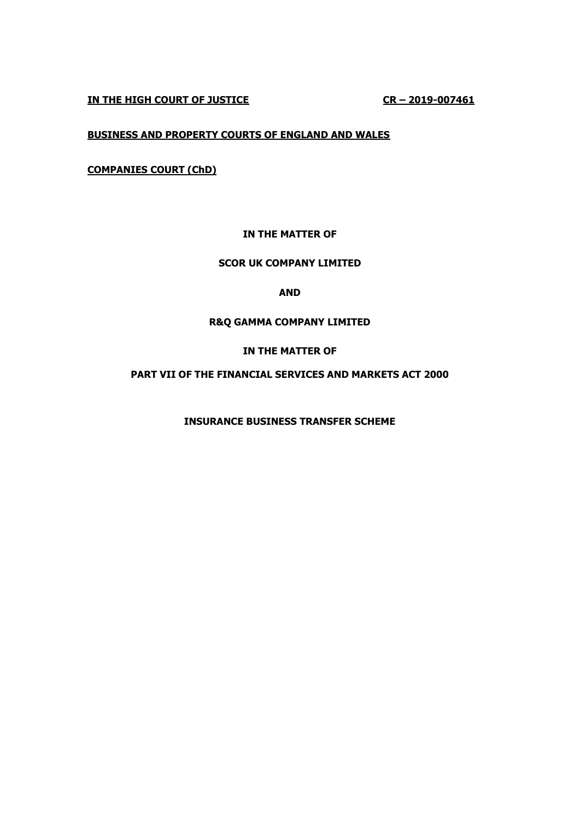**IN THE HIGH COURT OF JUSTICE CR – 2019-007461**

# **BUSINESS AND PROPERTY COURTS OF ENGLAND AND WALES**

**COMPANIES COURT (ChD)**

# **IN THE MATTER OF**

## **SCOR UK COMPANY LIMITED**

**AND**

### **R&Q GAMMA COMPANY LIMITED**

### **IN THE MATTER OF**

## **PART VII OF THE FINANCIAL SERVICES AND MARKETS ACT 2000**

**INSURANCE BUSINESS TRANSFER SCHEME**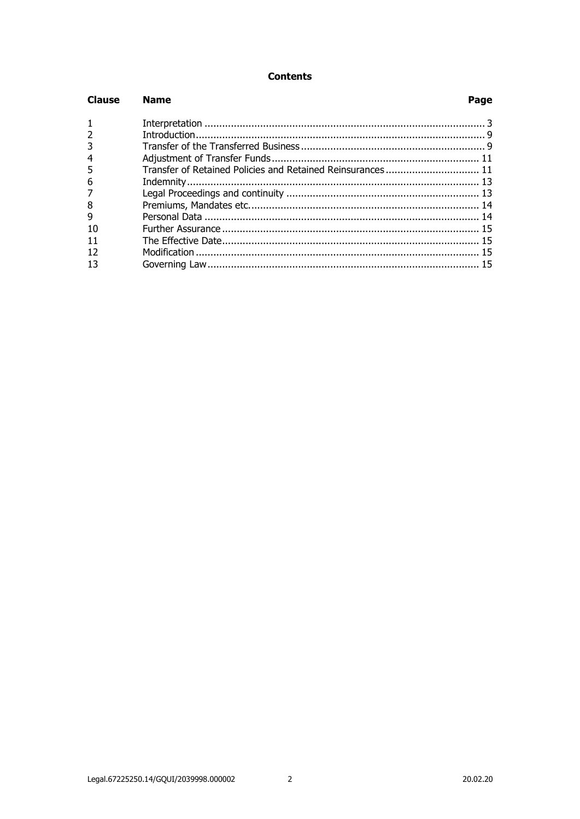## **Contents**

| <b>Clause</b> | <b>Name</b>                                                | Page |
|---------------|------------------------------------------------------------|------|
|               |                                                            |      |
|               |                                                            |      |
|               |                                                            |      |
|               |                                                            |      |
|               | Transfer of Retained Policies and Retained Reinsurances 11 |      |
| 6             |                                                            |      |
|               |                                                            |      |
| 8             |                                                            |      |
| 9             |                                                            |      |
|               |                                                            |      |
|               |                                                            |      |
|               |                                                            |      |
|               |                                                            |      |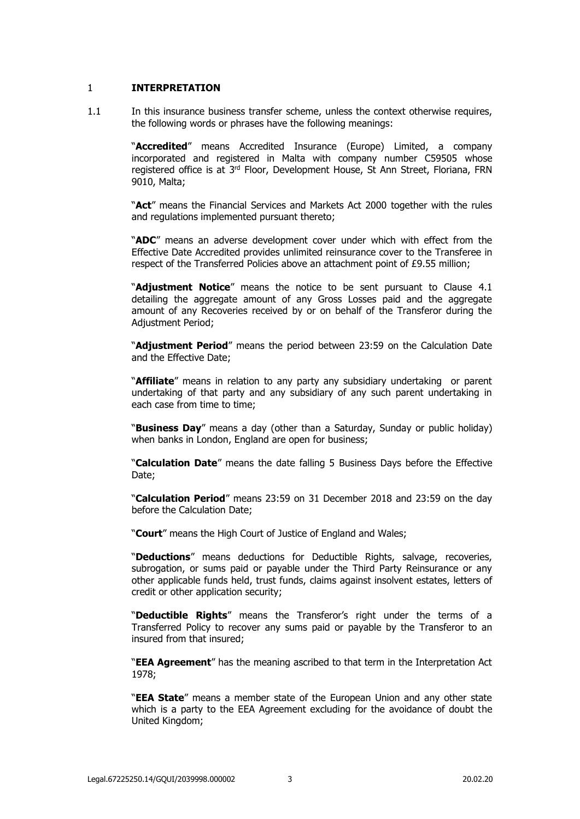### <span id="page-2-0"></span>1 **INTERPRETATION**

1.1 In this insurance business transfer scheme, unless the context otherwise requires, the following words or phrases have the following meanings:

> "**Accredited**" means Accredited Insurance (Europe) Limited, a company incorporated and registered in Malta with company number C59505 whose registered office is at 3<sup>rd</sup> Floor, Development House, St Ann Street, Floriana, FRN 9010, Malta;

> "**Act**" means the Financial Services and Markets Act 2000 together with the rules and regulations implemented pursuant thereto;

> "**ADC**" means an adverse development cover under which with effect from the Effective Date Accredited provides unlimited reinsurance cover to the Transferee in respect of the Transferred Policies above an attachment point of £9.55 million;

> "**Adjustment Notice**" means the notice to be sent pursuant to Clause [4.1](#page-10-2) detailing the aggregate amount of any Gross Losses paid and the aggregate amount of any Recoveries received by or on behalf of the Transferor during the Adjustment Period;

> "**Adjustment Period**" means the period between 23:59 on the Calculation Date and the Effective Date;

> "**Affiliate**" means in relation to any party any subsidiary undertaking or parent undertaking of that party and any subsidiary of any such parent undertaking in each case from time to time;

> "**Business Day**" means a day (other than a Saturday, Sunday or public holiday) when banks in London, England are open for business;

> "**Calculation Date**" means the date falling 5 Business Days before the Effective Date;

> "**Calculation Period**" means 23:59 on 31 December 2018 and 23:59 on the day before the Calculation Date;

"**Court**" means the High Court of Justice of England and Wales;

"**Deductions**" means deductions for Deductible Rights, salvage, recoveries, subrogation, or sums paid or payable under the Third Party Reinsurance or any other applicable funds held, trust funds, claims against insolvent estates, letters of credit or other application security;

"**Deductible Rights**" means the Transferor's right under the terms of a Transferred Policy to recover any sums paid or payable by the Transferor to an insured from that insured;

"**EEA Agreement**" has the meaning ascribed to that term in the Interpretation Act 1978;

"**EEA State**" means a member state of the European Union and any other state which is a party to the EEA Agreement excluding for the avoidance of doubt the United Kingdom;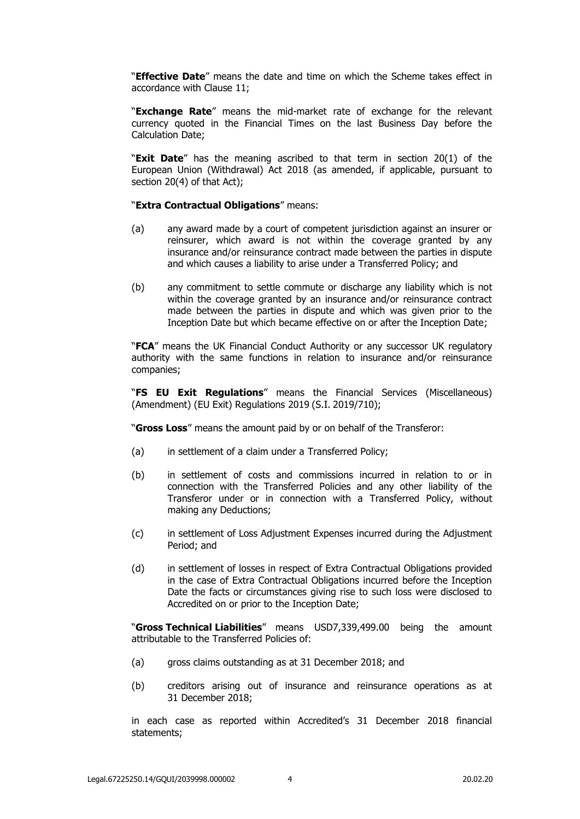"**Effective Date**" means the date and time on which the Scheme takes effect in accordance with Clause 11;

"**Exchange Rate**" means the mid-market rate of exchange for the relevant currency quoted in the Financial Times on the last Business Day before the Calculation Date;

"**Exit Date**" has the meaning ascribed to that term in section 20(1) of the European Union (Withdrawal) Act 2018 (as amended, if applicable, pursuant to section 20(4) of that Act);

#### "**Extra Contractual Obligations**" means:

- (a) any award made by a court of competent jurisdiction against an insurer or reinsurer, which award is not within the coverage granted by any insurance and/or reinsurance contract made between the parties in dispute and which causes a liability to arise under a Transferred Policy; and
- (b) any commitment to settle commute or discharge any liability which is not within the coverage granted by an insurance and/or reinsurance contract made between the parties in dispute and which was given prior to the Inception Date but which became effective on or after the Inception Date;

"**FCA**" means the UK Financial Conduct Authority or any successor UK regulatory authority with the same functions in relation to insurance and/or reinsurance companies;

"**FS EU Exit Regulations**" means the Financial Services (Miscellaneous) (Amendment) (EU Exit) Regulations 2019 (S.I. 2019/710);

"**Gross Loss**" means the amount paid by or on behalf of the Transferor:

- (a) in settlement of a claim under a Transferred Policy;
- (b) in settlement of costs and commissions incurred in relation to or in connection with the Transferred Policies and any other liability of the Transferor under or in connection with a Transferred Policy, without making any Deductions;
- (c) in settlement of Loss Adjustment Expenses incurred during the Adjustment Period; and
- (d) in settlement of losses in respect of Extra Contractual Obligations provided in the case of Extra Contractual Obligations incurred before the Inception Date the facts or circumstances giving rise to such loss were disclosed to Accredited on or prior to the Inception Date;

"**Gross Technical Liabilities**" means USD7,339,499.00 being the amount attributable to the Transferred Policies of:

- (a) gross claims outstanding as at 31 December 2018; and
- (b) creditors arising out of insurance and reinsurance operations as at 31 December 2018;

in each case as reported within Accredited's 31 December 2018 financial statements;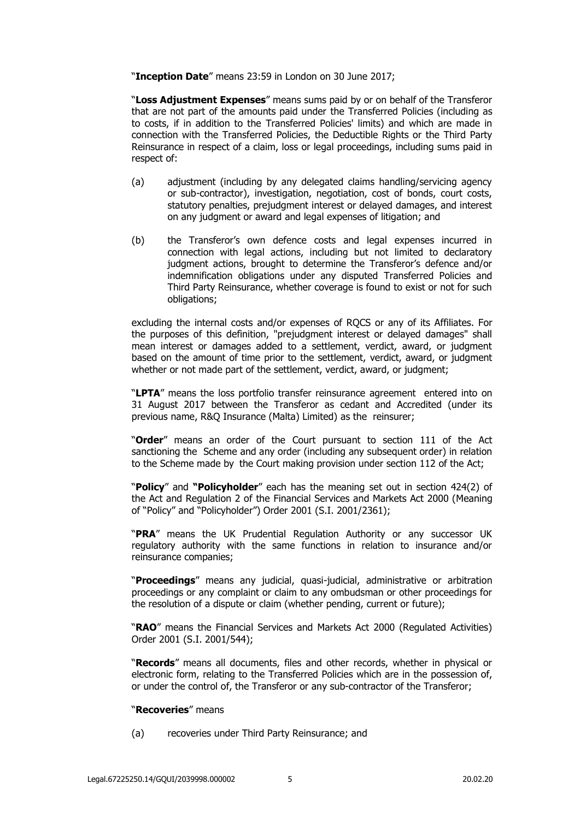"**Inception Date**" means 23:59 in London on 30 June 2017;

"**Loss Adjustment Expenses**" means sums paid by or on behalf of the Transferor that are not part of the amounts paid under the Transferred Policies (including as to costs, if in addition to the Transferred Policies' limits) and which are made in connection with the Transferred Policies, the Deductible Rights or the Third Party Reinsurance in respect of a claim, loss or legal proceedings, including sums paid in respect of:

- (a) adjustment (including by any delegated claims handling/servicing agency or sub-contractor), investigation, negotiation, cost of bonds, court costs, statutory penalties, prejudgment interest or delayed damages, and interest on any judgment or award and legal expenses of litigation; and
- (b) the Transferor's own defence costs and legal expenses incurred in connection with legal actions, including but not limited to declaratory judgment actions, brought to determine the Transferor's defence and/or indemnification obligations under any disputed Transferred Policies and Third Party Reinsurance, whether coverage is found to exist or not for such obligations;

excluding the internal costs and/or expenses of RQCS or any of its Affiliates. For the purposes of this definition, "prejudgment interest or delayed damages" shall mean interest or damages added to a settlement, verdict, award, or judgment based on the amount of time prior to the settlement, verdict, award, or judgment whether or not made part of the settlement, verdict, award, or judgment;

"**LPTA**" means the loss portfolio transfer reinsurance agreement entered into on 31 August 2017 between the Transferor as cedant and Accredited (under its previous name, R&Q Insurance (Malta) Limited) as the reinsurer;

"**Order**" means an order of the Court pursuant to section 111 of the Act sanctioning the Scheme and any order (including any subsequent order) in relation to the Scheme made by the Court making provision under section 112 of the Act;

"**Policy**" and **"Policyholder**" each has the meaning set out in section 424(2) of the Act and Regulation 2 of the Financial Services and Markets Act 2000 (Meaning of "Policy" and "Policyholder") Order 2001 (S.I. 2001/2361);

"**PRA**" means the UK Prudential Regulation Authority or any successor UK regulatory authority with the same functions in relation to insurance and/or reinsurance companies;

"**Proceedings**" means any judicial, quasi-judicial, administrative or arbitration proceedings or any complaint or claim to any ombudsman or other proceedings for the resolution of a dispute or claim (whether pending, current or future);

"**RAO**" means the Financial Services and Markets Act 2000 (Regulated Activities) Order 2001 (S.I. 2001/544);

"**Records**" means all documents, files and other records, whether in physical or electronic form, relating to the Transferred Policies which are in the possession of, or under the control of, the Transferor or any sub-contractor of the Transferor;

#### "**Recoveries**" means

(a) recoveries under Third Party Reinsurance; and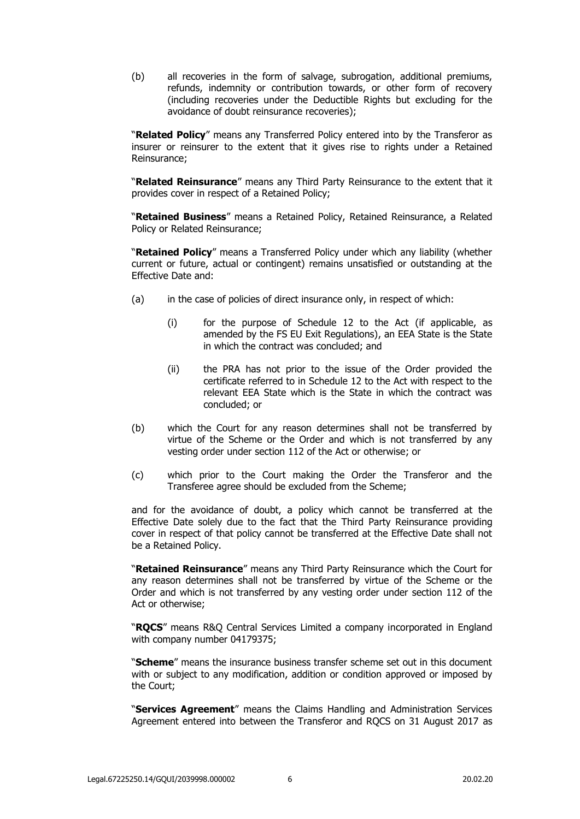(b) all recoveries in the form of salvage, subrogation, additional premiums, refunds, indemnity or contribution towards, or other form of recovery (including recoveries under the Deductible Rights but excluding for the avoidance of doubt reinsurance recoveries);

"**Related Policy**" means any Transferred Policy entered into by the Transferor as insurer or reinsurer to the extent that it gives rise to rights under a Retained Reinsurance;

"**Related Reinsurance**" means any Third Party Reinsurance to the extent that it provides cover in respect of a Retained Policy;

"**Retained Business**" means a Retained Policy, Retained Reinsurance, a Related Policy or Related Reinsurance;

"**Retained Policy**" means a Transferred Policy under which any liability (whether current or future, actual or contingent) remains unsatisfied or outstanding at the Effective Date and:

- (a) in the case of policies of direct insurance only, in respect of which:
	- (i) for the purpose of Schedule 12 to the Act (if applicable, as amended by the FS EU Exit Regulations), an EEA State is the State in which the contract was concluded; and
	- (ii) the PRA has not prior to the issue of the Order provided the certificate referred to in Schedule 12 to the Act with respect to the relevant EEA State which is the State in which the contract was concluded; or
- (b) which the Court for any reason determines shall not be transferred by virtue of the Scheme or the Order and which is not transferred by any vesting order under section 112 of the Act or otherwise; or
- (c) which prior to the Court making the Order the Transferor and the Transferee agree should be excluded from the Scheme;

and for the avoidance of doubt, a policy which cannot be transferred at the Effective Date solely due to the fact that the Third Party Reinsurance providing cover in respect of that policy cannot be transferred at the Effective Date shall not be a Retained Policy.

"**Retained Reinsurance**" means any Third Party Reinsurance which the Court for any reason determines shall not be transferred by virtue of the Scheme or the Order and which is not transferred by any vesting order under section 112 of the Act or otherwise;

"**RQCS**" means R&Q Central Services Limited a company incorporated in England with company number 04179375;

"**Scheme**" means the insurance business transfer scheme set out in this document with or subject to any modification, addition or condition approved or imposed by the Court;

"**Services Agreement**" means the Claims Handling and Administration Services Agreement entered into between the Transferor and RQCS on 31 August 2017 as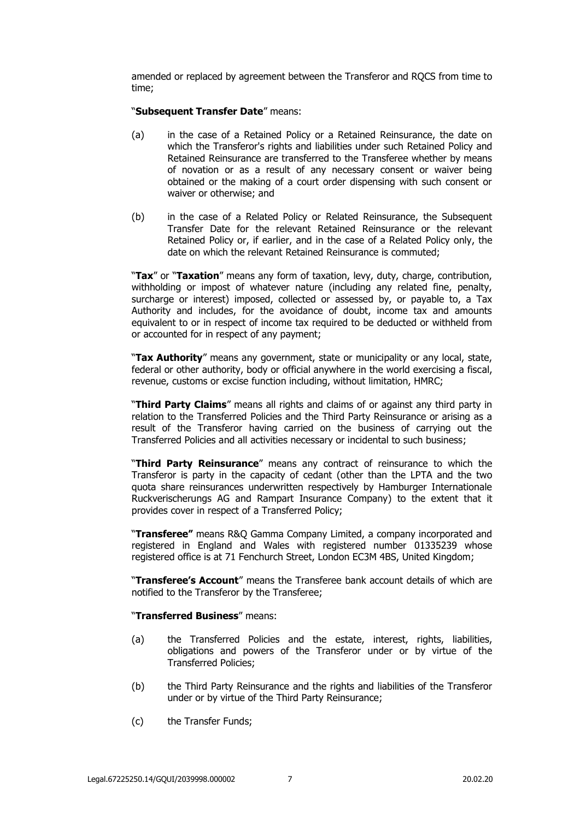amended or replaced by agreement between the Transferor and RQCS from time to time;

#### "**Subsequent Transfer Date**" means:

- (a) in the case of a Retained Policy or a Retained Reinsurance, the date on which the Transferor's rights and liabilities under such Retained Policy and Retained Reinsurance are transferred to the Transferee whether by means of novation or as a result of any necessary consent or waiver being obtained or the making of a court order dispensing with such consent or waiver or otherwise; and
- (b) in the case of a Related Policy or Related Reinsurance, the Subsequent Transfer Date for the relevant Retained Reinsurance or the relevant Retained Policy or, if earlier, and in the case of a Related Policy only, the date on which the relevant Retained Reinsurance is commuted;

"**Tax**" or "**Taxation**" means any form of taxation, levy, duty, charge, contribution, withholding or impost of whatever nature (including any related fine, penalty, surcharge or interest) imposed, collected or assessed by, or payable to, a Tax Authority and includes, for the avoidance of doubt, income tax and amounts equivalent to or in respect of income tax required to be deducted or withheld from or accounted for in respect of any payment;

"**Tax Authority**" means any government, state or municipality or any local, state, federal or other authority, body or official anywhere in the world exercising a fiscal, revenue, customs or excise function including, without limitation, HMRC;

"**Third Party Claims**" means all rights and claims of or against any third party in relation to the Transferred Policies and the Third Party Reinsurance or arising as a result of the Transferor having carried on the business of carrying out the Transferred Policies and all activities necessary or incidental to such business;

"**Third Party Reinsurance**" means any contract of reinsurance to which the Transferor is party in the capacity of cedant (other than the LPTA and the two quota share reinsurances underwritten respectively by Hamburger Internationale Ruckverischerungs AG and Rampart Insurance Company) to the extent that it provides cover in respect of a Transferred Policy;

"**Transferee"** means R&Q Gamma Company Limited, a company incorporated and registered in England and Wales with registered number 01335239 whose registered office is at 71 Fenchurch Street, London EC3M 4BS, United Kingdom;

"**Transferee's Account**" means the Transferee bank account details of which are notified to the Transferor by the Transferee;

### "**Transferred Business**" means:

- (a) the Transferred Policies and the estate, interest, rights, liabilities, obligations and powers of the Transferor under or by virtue of the Transferred Policies;
- (b) the Third Party Reinsurance and the rights and liabilities of the Transferor under or by virtue of the Third Party Reinsurance;
- (c) the Transfer Funds;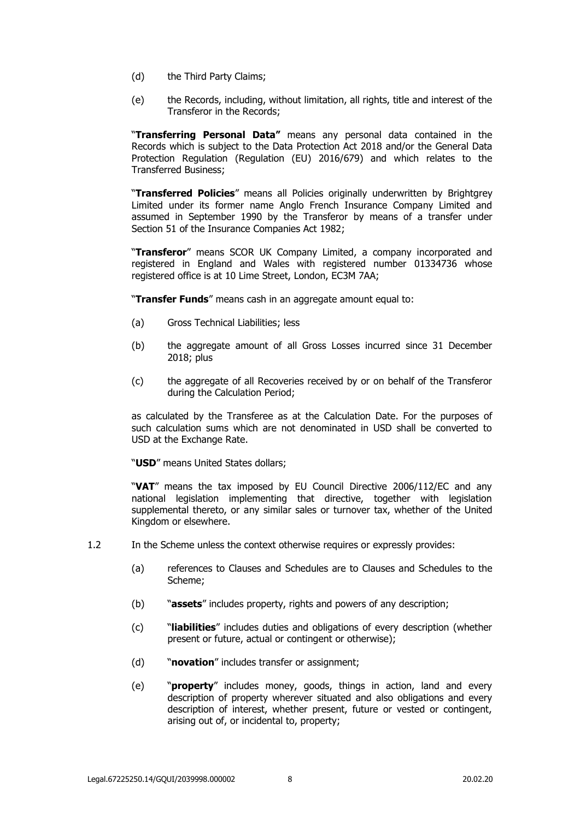- (d) the Third Party Claims;
- (e) the Records, including, without limitation, all rights, title and interest of the Transferor in the Records;

"**Transferring Personal Data"** means any personal data contained in the Records which is subject to the Data Protection Act 2018 and/or the General Data Protection Regulation (Regulation (EU) 2016/679) and which relates to the Transferred Business;

"**Transferred Policies**" means all Policies originally underwritten by Brightgrey Limited under its former name Anglo French Insurance Company Limited and assumed in September 1990 by the Transferor by means of a transfer under Section 51 of the Insurance Companies Act 1982;

"**Transferor**" means SCOR UK Company Limited, a company incorporated and registered in England and Wales with registered number 01334736 whose registered office is at 10 Lime Street, London, EC3M 7AA;

"**Transfer Funds**" means cash in an aggregate amount equal to:

- (a) Gross Technical Liabilities; less
- (b) the aggregate amount of all Gross Losses incurred since 31 December 2018; plus
- (c) the aggregate of all Recoveries received by or on behalf of the Transferor during the Calculation Period;

as calculated by the Transferee as at the Calculation Date. For the purposes of such calculation sums which are not denominated in USD shall be converted to USD at the Exchange Rate.

"**USD**" means United States dollars;

"**VAT**" means the tax imposed by EU Council Directive 2006/112/EC and any national legislation implementing that directive, together with legislation supplemental thereto, or any similar sales or turnover tax, whether of the United Kingdom or elsewhere.

- 1.2 In the Scheme unless the context otherwise requires or expressly provides:
	- (a) references to Clauses and Schedules are to Clauses and Schedules to the Scheme;
	- (b) "**assets**" includes property, rights and powers of any description;
	- (c) "**liabilities**" includes duties and obligations of every description (whether present or future, actual or contingent or otherwise);
	- (d) "**novation**" includes transfer or assignment;
	- (e) "**property**" includes money, goods, things in action, land and every description of property wherever situated and also obligations and every description of interest, whether present, future or vested or contingent, arising out of, or incidental to, property;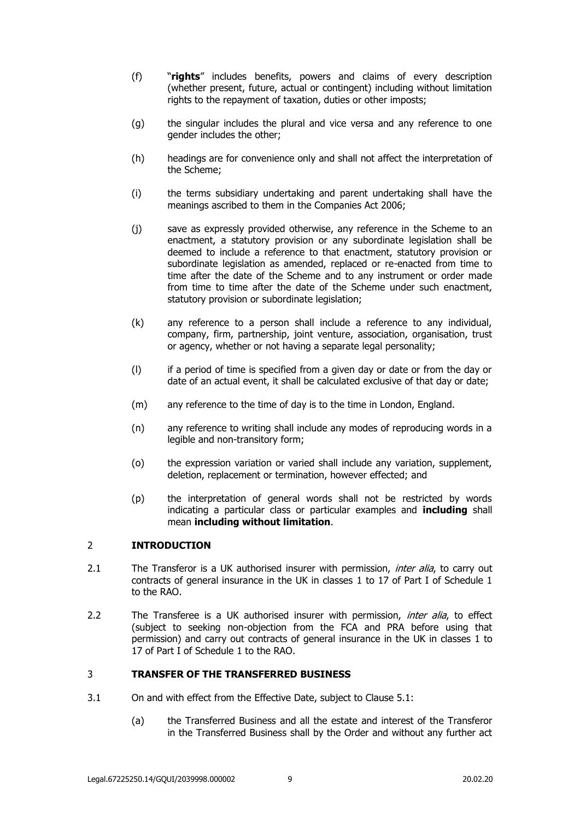- (f) "**rights**" includes benefits, powers and claims of every description (whether present, future, actual or contingent) including without limitation rights to the repayment of taxation, duties or other imposts;
- (g) the singular includes the plural and vice versa and any reference to one gender includes the other;
- (h) headings are for convenience only and shall not affect the interpretation of the Scheme;
- (i) the terms subsidiary undertaking and parent undertaking shall have the meanings ascribed to them in the Companies Act 2006;
- (j) save as expressly provided otherwise, any reference in the Scheme to an enactment, a statutory provision or any subordinate legislation shall be deemed to include a reference to that enactment, statutory provision or subordinate legislation as amended, replaced or re-enacted from time to time after the date of the Scheme and to any instrument or order made from time to time after the date of the Scheme under such enactment, statutory provision or subordinate legislation;
- (k) any reference to a person shall include a reference to any individual, company, firm, partnership, joint venture, association, organisation, trust or agency, whether or not having a separate legal personality;
- (l) if a period of time is specified from a given day or date or from the day or date of an actual event, it shall be calculated exclusive of that day or date;
- (m) any reference to the time of day is to the time in London, England.
- (n) any reference to writing shall include any modes of reproducing words in a legible and non-transitory form;
- (o) the expression variation or varied shall include any variation, supplement, deletion, replacement or termination, however effected; and
- (p) the interpretation of general words shall not be restricted by words indicating a particular class or particular examples and **including** shall mean **including without limitation**.

## <span id="page-8-0"></span>2 **INTRODUCTION**

- 2.1 The Transferor is a UK authorised insurer with permission, *inter alia*, to carry out contracts of general insurance in the UK in classes 1 to 17 of Part I of Schedule 1 to the RAO.
- 2.2 The Transferee is a UK authorised insurer with permission, *inter alia*, to effect (subject to seeking non-objection from the FCA and PRA before using that permission) and carry out contracts of general insurance in the UK in classes 1 to 17 of Part I of Schedule 1 to the RAO.

## <span id="page-8-1"></span>3 **TRANSFER OF THE TRANSFERRED BUSINESS**

- 3.1 On and with effect from the Effective Date, subject to Clause [5.1:](#page-10-3)
	- (a) the Transferred Business and all the estate and interest of the Transferor in the Transferred Business shall by the Order and without any further act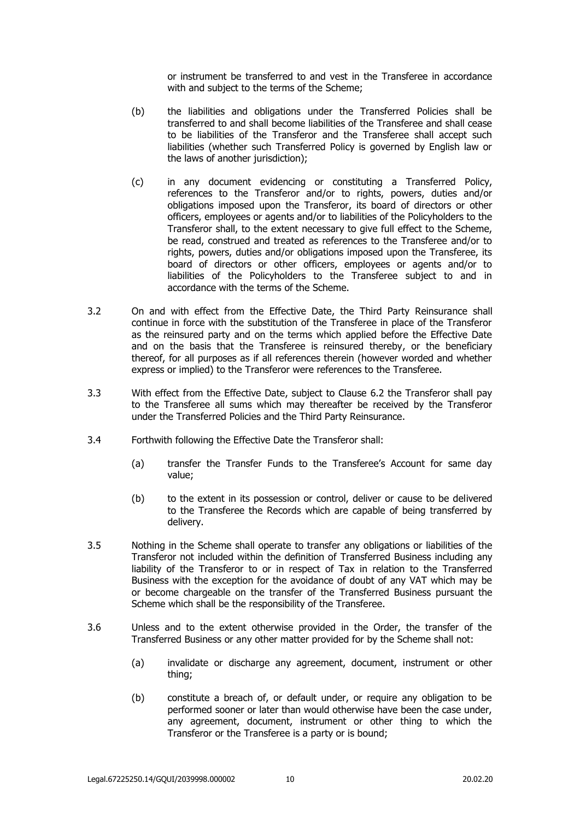or instrument be transferred to and vest in the Transferee in accordance with and subject to the terms of the Scheme;

- (b) the liabilities and obligations under the Transferred Policies shall be transferred to and shall become liabilities of the Transferee and shall cease to be liabilities of the Transferor and the Transferee shall accept such liabilities (whether such Transferred Policy is governed by English law or the laws of another jurisdiction);
- (c) in any document evidencing or constituting a Transferred Policy, references to the Transferor and/or to rights, powers, duties and/or obligations imposed upon the Transferor, its board of directors or other officers, employees or agents and/or to liabilities of the Policyholders to the Transferor shall, to the extent necessary to give full effect to the Scheme, be read, construed and treated as references to the Transferee and/or to rights, powers, duties and/or obligations imposed upon the Transferee, its board of directors or other officers, employees or agents and/or to liabilities of the Policyholders to the Transferee subject to and in accordance with the terms of the Scheme.
- 3.2 On and with effect from the Effective Date, the Third Party Reinsurance shall continue in force with the substitution of the Transferee in place of the Transferor as the reinsured party and on the terms which applied before the Effective Date and on the basis that the Transferee is reinsured thereby, or the beneficiary thereof, for all purposes as if all references therein (however worded and whether express or implied) to the Transferor were references to the Transferee.
- 3.3 With effect from the Effective Date, subject to Clause [6.2](#page-12-2) the Transferor shall pay to the Transferee all sums which may thereafter be received by the Transferor under the Transferred Policies and the Third Party Reinsurance.
- 3.4 Forthwith following the Effective Date the Transferor shall:
	- (a) transfer the Transfer Funds to the Transferee's Account for same day value;
	- (b) to the extent in its possession or control, deliver or cause to be delivered to the Transferee the Records which are capable of being transferred by delivery.
- 3.5 Nothing in the Scheme shall operate to transfer any obligations or liabilities of the Transferor not included within the definition of Transferred Business including any liability of the Transferor to or in respect of Tax in relation to the Transferred Business with the exception for the avoidance of doubt of any VAT which may be or become chargeable on the transfer of the Transferred Business pursuant the Scheme which shall be the responsibility of the Transferee.
- 3.6 Unless and to the extent otherwise provided in the Order, the transfer of the Transferred Business or any other matter provided for by the Scheme shall not:
	- (a) invalidate or discharge any agreement, document, instrument or other thing;
	- (b) constitute a breach of, or default under, or require any obligation to be performed sooner or later than would otherwise have been the case under, any agreement, document, instrument or other thing to which the Transferor or the Transferee is a party or is bound;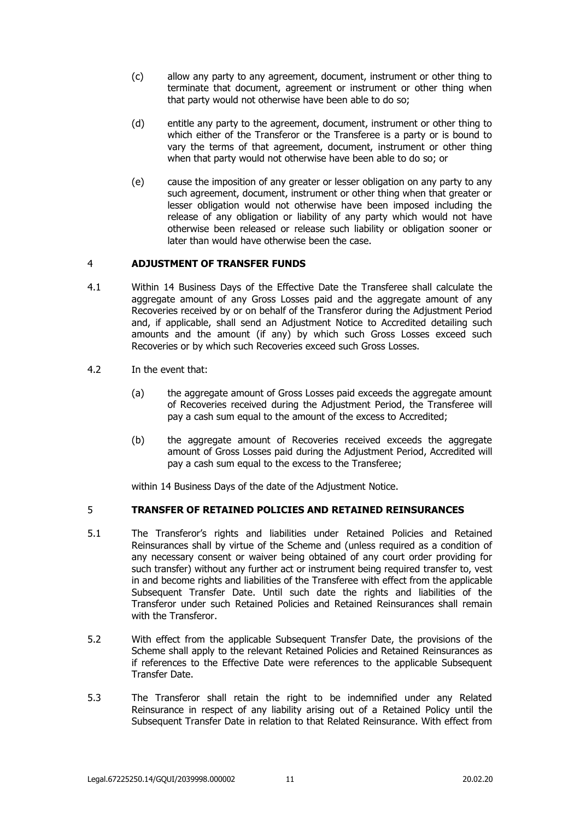- (c) allow any party to any agreement, document, instrument or other thing to terminate that document, agreement or instrument or other thing when that party would not otherwise have been able to do so;
- (d) entitle any party to the agreement, document, instrument or other thing to which either of the Transferor or the Transferee is a party or is bound to vary the terms of that agreement, document, instrument or other thing when that party would not otherwise have been able to do so; or
- (e) cause the imposition of any greater or lesser obligation on any party to any such agreement, document, instrument or other thing when that greater or lesser obligation would not otherwise have been imposed including the release of any obligation or liability of any party which would not have otherwise been released or release such liability or obligation sooner or later than would have otherwise been the case.

# <span id="page-10-0"></span>4 **ADJUSTMENT OF TRANSFER FUNDS**

- <span id="page-10-2"></span>4.1 Within 14 Business Days of the Effective Date the Transferee shall calculate the aggregate amount of any Gross Losses paid and the aggregate amount of any Recoveries received by or on behalf of the Transferor during the Adjustment Period and, if applicable, shall send an Adjustment Notice to Accredited detailing such amounts and the amount (if any) by which such Gross Losses exceed such Recoveries or by which such Recoveries exceed such Gross Losses.
- 4.2 In the event that:
	- (a) the aggregate amount of Gross Losses paid exceeds the aggregate amount of Recoveries received during the Adjustment Period, the Transferee will pay a cash sum equal to the amount of the excess to Accredited;
	- (b) the aggregate amount of Recoveries received exceeds the aggregate amount of Gross Losses paid during the Adjustment Period, Accredited will pay a cash sum equal to the excess to the Transferee;

within 14 Business Days of the date of the Adjustment Notice.

## <span id="page-10-3"></span><span id="page-10-1"></span>5 **TRANSFER OF RETAINED POLICIES AND RETAINED REINSURANCES**

- 5.1 The Transferor's rights and liabilities under Retained Policies and Retained Reinsurances shall by virtue of the Scheme and (unless required as a condition of any necessary consent or waiver being obtained of any court order providing for such transfer) without any further act or instrument being required transfer to, vest in and become rights and liabilities of the Transferee with effect from the applicable Subsequent Transfer Date. Until such date the rights and liabilities of the Transferor under such Retained Policies and Retained Reinsurances shall remain with the Transferor.
- 5.2 With effect from the applicable Subsequent Transfer Date, the provisions of the Scheme shall apply to the relevant Retained Policies and Retained Reinsurances as if references to the Effective Date were references to the applicable Subsequent Transfer Date.
- 5.3 The Transferor shall retain the right to be indemnified under any Related Reinsurance in respect of any liability arising out of a Retained Policy until the Subsequent Transfer Date in relation to that Related Reinsurance. With effect from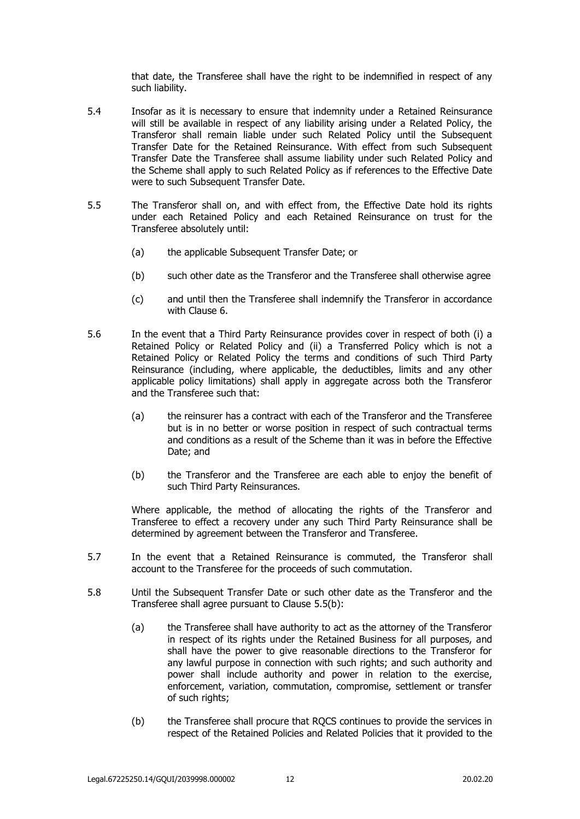that date, the Transferee shall have the right to be indemnified in respect of any such liability.

- 5.4 Insofar as it is necessary to ensure that indemnity under a Retained Reinsurance will still be available in respect of any liability arising under a Related Policy, the Transferor shall remain liable under such Related Policy until the Subsequent Transfer Date for the Retained Reinsurance. With effect from such Subsequent Transfer Date the Transferee shall assume liability under such Related Policy and the Scheme shall apply to such Related Policy as if references to the Effective Date were to such Subsequent Transfer Date.
- <span id="page-11-0"></span>5.5 The Transferor shall on, and with effect from, the Effective Date hold its rights under each Retained Policy and each Retained Reinsurance on trust for the Transferee absolutely until:
	- (a) the applicable Subsequent Transfer Date; or
	- (b) such other date as the Transferor and the Transferee shall otherwise agree
	- (c) and until then the Transferee shall indemnify the Transferor in accordance with Clause 6.
- 5.6 In the event that a Third Party Reinsurance provides cover in respect of both (i) a Retained Policy or Related Policy and (ii) a Transferred Policy which is not a Retained Policy or Related Policy the terms and conditions of such Third Party Reinsurance (including, where applicable, the deductibles, limits and any other applicable policy limitations) shall apply in aggregate across both the Transferor and the Transferee such that:
	- (a) the reinsurer has a contract with each of the Transferor and the Transferee but is in no better or worse position in respect of such contractual terms and conditions as a result of the Scheme than it was in before the Effective Date; and
	- (b) the Transferor and the Transferee are each able to enjoy the benefit of such Third Party Reinsurances.

Where applicable, the method of allocating the rights of the Transferor and Transferee to effect a recovery under any such Third Party Reinsurance shall be determined by agreement between the Transferor and Transferee.

- 5.7 In the event that a Retained Reinsurance is commuted, the Transferor shall account to the Transferee for the proceeds of such commutation.
- 5.8 Until the Subsequent Transfer Date or such other date as the Transferor and the Transferee shall agree pursuant to Clause [5.5\(b\):](#page-11-0)
	- (a) the Transferee shall have authority to act as the attorney of the Transferor in respect of its rights under the Retained Business for all purposes, and shall have the power to give reasonable directions to the Transferor for any lawful purpose in connection with such rights; and such authority and power shall include authority and power in relation to the exercise, enforcement, variation, commutation, compromise, settlement or transfer of such rights;
	- (b) the Transferee shall procure that RQCS continues to provide the services in respect of the Retained Policies and Related Policies that it provided to the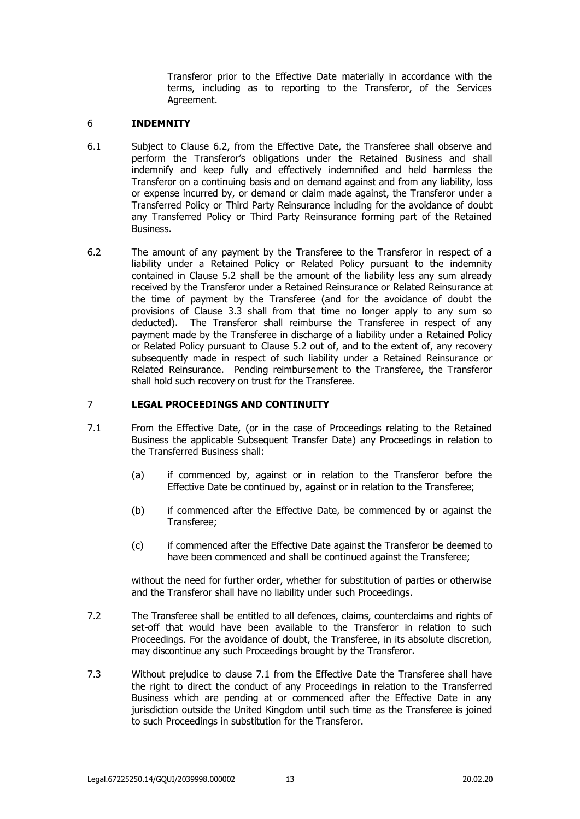Transferor prior to the Effective Date materially in accordance with the terms, including as to reporting to the Transferor, of the Services Agreement.

### <span id="page-12-0"></span>6 **INDEMNITY**

- 6.1 Subject to Clause 6.2, from the Effective Date, the Transferee shall observe and perform the Transferor's obligations under the Retained Business and shall indemnify and keep fully and effectively indemnified and held harmless the Transferor on a continuing basis and on demand against and from any liability, loss or expense incurred by, or demand or claim made against, the Transferor under a Transferred Policy or Third Party Reinsurance including for the avoidance of doubt any Transferred Policy or Third Party Reinsurance forming part of the Retained Business.
- <span id="page-12-2"></span>6.2 The amount of any payment by the Transferee to the Transferor in respect of a liability under a Retained Policy or Related Policy pursuant to the indemnity contained in Clause 5.2 shall be the amount of the liability less any sum already received by the Transferor under a Retained Reinsurance or Related Reinsurance at the time of payment by the Transferee (and for the avoidance of doubt the provisions of Clause 3.3 shall from that time no longer apply to any sum so deducted). The Transferor shall reimburse the Transferee in respect of any payment made by the Transferee in discharge of a liability under a Retained Policy or Related Policy pursuant to Clause 5.2 out of, and to the extent of, any recovery subsequently made in respect of such liability under a Retained Reinsurance or Related Reinsurance. Pending reimbursement to the Transferee, the Transferor shall hold such recovery on trust for the Transferee.

#### <span id="page-12-3"></span><span id="page-12-1"></span>7 **LEGAL PROCEEDINGS AND CONTINUITY**

- 7.1 From the Effective Date, (or in the case of Proceedings relating to the Retained Business the applicable Subsequent Transfer Date) any Proceedings in relation to the Transferred Business shall:
	- (a) if commenced by, against or in relation to the Transferor before the Effective Date be continued by, against or in relation to the Transferee;
	- (b) if commenced after the Effective Date, be commenced by or against the Transferee;
	- (c) if commenced after the Effective Date against the Transferor be deemed to have been commenced and shall be continued against the Transferee;

without the need for further order, whether for substitution of parties or otherwise and the Transferor shall have no liability under such Proceedings.

- 7.2 The Transferee shall be entitled to all defences, claims, counterclaims and rights of set-off that would have been available to the Transferor in relation to such Proceedings. For the avoidance of doubt, the Transferee, in its absolute discretion, may discontinue any such Proceedings brought by the Transferor.
- 7.3 Without prejudice to clause [7.1](#page-12-3) from the Effective Date the Transferee shall have the right to direct the conduct of any Proceedings in relation to the Transferred Business which are pending at or commenced after the Effective Date in any jurisdiction outside the United Kingdom until such time as the Transferee is joined to such Proceedings in substitution for the Transferor.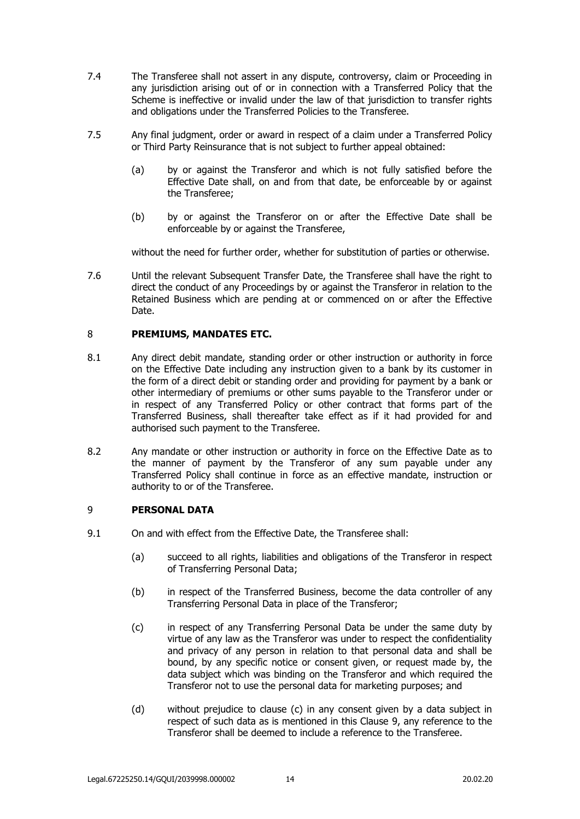- 7.4 The Transferee shall not assert in any dispute, controversy, claim or Proceeding in any jurisdiction arising out of or in connection with a Transferred Policy that the Scheme is ineffective or invalid under the law of that jurisdiction to transfer rights and obligations under the Transferred Policies to the Transferee.
- 7.5 Any final judgment, order or award in respect of a claim under a Transferred Policy or Third Party Reinsurance that is not subject to further appeal obtained:
	- (a) by or against the Transferor and which is not fully satisfied before the Effective Date shall, on and from that date, be enforceable by or against the Transferee;
	- (b) by or against the Transferor on or after the Effective Date shall be enforceable by or against the Transferee,

without the need for further order, whether for substitution of parties or otherwise.

7.6 Until the relevant Subsequent Transfer Date, the Transferee shall have the right to direct the conduct of any Proceedings by or against the Transferor in relation to the Retained Business which are pending at or commenced on or after the Effective Date.

## <span id="page-13-0"></span>8 **PREMIUMS, MANDATES ETC.**

- 8.1 Any direct debit mandate, standing order or other instruction or authority in force on the Effective Date including any instruction given to a bank by its customer in the form of a direct debit or standing order and providing for payment by a bank or other intermediary of premiums or other sums payable to the Transferor under or in respect of any Transferred Policy or other contract that forms part of the Transferred Business, shall thereafter take effect as if it had provided for and authorised such payment to the Transferee.
- 8.2 Any mandate or other instruction or authority in force on the Effective Date as to the manner of payment by the Transferor of any sum payable under any Transferred Policy shall continue in force as an effective mandate, instruction or authority to or of the Transferee.

#### <span id="page-13-1"></span>9 **PERSONAL DATA**

- <span id="page-13-2"></span>9.1 On and with effect from the Effective Date, the Transferee shall:
	- (a) succeed to all rights, liabilities and obligations of the Transferor in respect of Transferring Personal Data;
	- (b) in respect of the Transferred Business, become the data controller of any Transferring Personal Data in place of the Transferor;
	- (c) in respect of any Transferring Personal Data be under the same duty by virtue of any law as the Transferor was under to respect the confidentiality and privacy of any person in relation to that personal data and shall be bound, by any specific notice or consent given, or request made by, the data subject which was binding on the Transferor and which required the Transferor not to use the personal data for marketing purposes; and
	- (d) without prejudice to clause [\(c\)](#page-13-2) in any consent given by a data subject in respect of such data as is mentioned in this Clause [9,](#page-13-1) any reference to the Transferor shall be deemed to include a reference to the Transferee.